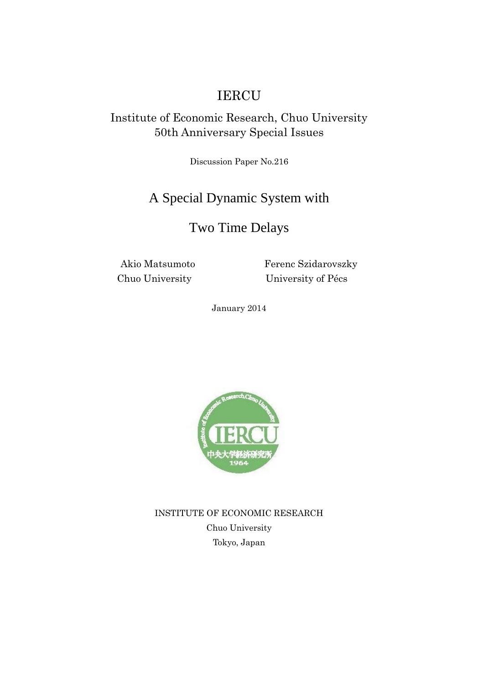# IERCU

### Institute of Economic Research, Chuo University 50th Anniversary Special Issues

Discussion Paper No.216

# A Special Dynamic System with

# Two Time Delays

Akio Matsumoto Ferenc Szidarovszky Chuo University University of Pécs

January 2014



INSTITUTE OF ECONOMIC RESEARCH Chuo University Tokyo, Japan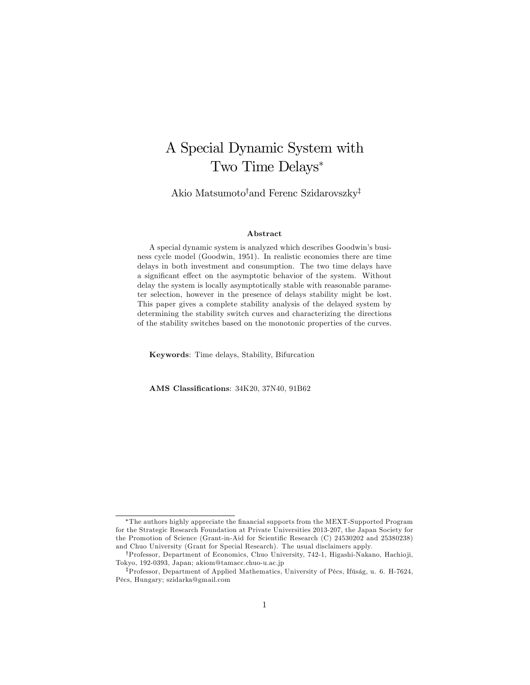# A Special Dynamic System with Two Time Delays

Akio Matsumoto<sup>†</sup>and Ferenc Szidarovszky<sup>‡</sup>

#### Abstract

A special dynamic system is analyzed which describes Goodwin's business cycle model (Goodwin, 1951). In realistic economies there are time delays in both investment and consumption. The two time delays have a significant effect on the asymptotic behavior of the system. Without delay the system is locally asymptotically stable with reasonable parameter selection, however in the presence of delays stability might be lost. This paper gives a complete stability analysis of the delayed system by determining the stability switch curves and characterizing the directions of the stability switches based on the monotonic properties of the curves.

Keywords: Time delays, Stability, Bifurcation

AMS Classifications: 34K20, 37N40, 91B62

The authors highly appreciate the Önancial supports from the MEXT-Supported Program for the Strategic Research Foundation at Private Universities 2013-207, the Japan Society for the Promotion of Science (Grant-in-Aid for Scientific Research (C) 24530202 and 25380238) and Chuo University (Grant for Special Research). The usual disclaimers apply.

<sup>&</sup>lt;sup>†</sup>Professor, Department of Economics, Chuo University, 742-1, Higashi-Nakano, Hachioji, Tokyo, 192-0393, Japan; akiom@tamacc.chuo-u.ac.jp

<sup>&</sup>lt;sup>‡</sup>Professor, Department of Applied Mathematics, University of Pécs, Ifúság, u. 6. H-7624, PÈcs, Hungary; szidarka@gmail.com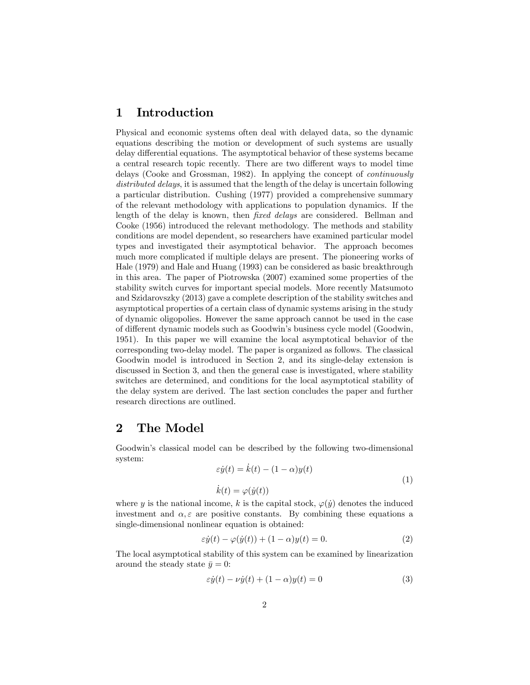#### 1 Introduction

Physical and economic systems often deal with delayed data, so the dynamic equations describing the motion or development of such systems are usually delay differential equations. The asymptotical behavior of these systems became a central research topic recently. There are two different ways to model time delays (Cooke and Grossman, 1982). In applying the concept of continuously distributed delays, it is assumed that the length of the delay is uncertain following a particular distribution. Cushing (1977) provided a comprehensive summary of the relevant methodology with applications to population dynamics. If the length of the delay is known, then fixed delays are considered. Bellman and Cooke (1956) introduced the relevant methodology. The methods and stability conditions are model dependent, so researchers have examined particular model types and investigated their asymptotical behavior. The approach becomes much more complicated if multiple delays are present. The pioneering works of Hale (1979) and Hale and Huang (1993) can be considered as basic breakthrough in this area. The paper of Piotrowska (2007) examined some properties of the stability switch curves for important special models. More recently Matsumoto and Szidarovszky (2013) gave a complete description of the stability switches and asymptotical properties of a certain class of dynamic systems arising in the study of dynamic oligopolies. However the same approach cannot be used in the case of different dynamic models such as Goodwin's business cycle model (Goodwin, 1951). In this paper we will examine the local asymptotical behavior of the corresponding two-delay model. The paper is organized as follows. The classical Goodwin model is introduced in Section 2, and its single-delay extension is discussed in Section 3, and then the general case is investigated, where stability switches are determined, and conditions for the local asymptotical stability of the delay system are derived. The last section concludes the paper and further research directions are outlined.

#### 2 The Model

Goodwin's classical model can be described by the following two-dimensional system:

$$
\varepsilon \dot{y}(t) = \dot{k}(t) - (1 - \alpha)y(t)
$$
  
\n
$$
\dot{k}(t) = \varphi(\dot{y}(t))
$$
\n(1)

where y is the national income, k is the capital stock,  $\varphi(y)$  denotes the induced investment and  $\alpha, \varepsilon$  are positive constants. By combining these equations a single-dimensional nonlinear equation is obtained:

$$
\varepsilon \dot{y}(t) - \varphi(\dot{y}(t)) + (1 - \alpha)y(t) = 0.
$$
\n(2)

The local asymptotical stability of this system can be examined by linearization around the steady state  $\bar{y} = 0$ :

$$
\varepsilon \dot{y}(t) - \nu \dot{y}(t) + (1 - \alpha)y(t) = 0 \tag{3}
$$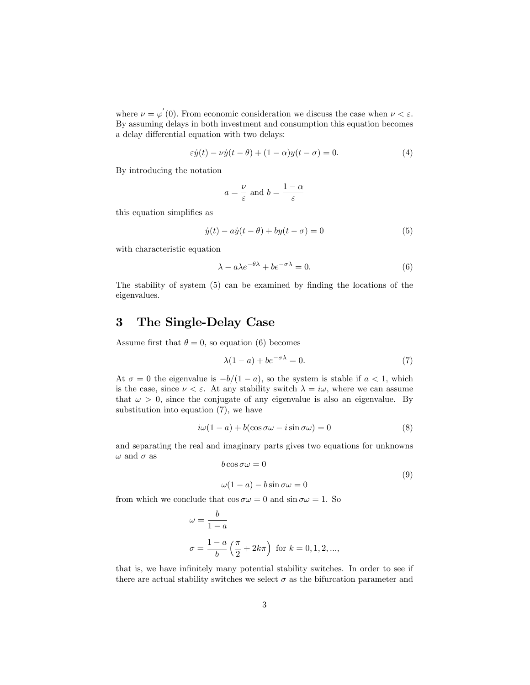where  $\nu = \varphi'(0)$ . From economic consideration we discuss the case when  $\nu < \varepsilon$ . By assuming delays in both investment and consumption this equation becomes a delay differential equation with two delays:

$$
\varepsilon \dot{y}(t) - \nu \dot{y}(t - \theta) + (1 - \alpha)y(t - \sigma) = 0.
$$
 (4)

By introducing the notation

$$
a = \frac{\nu}{\varepsilon}
$$
 and  $b = \frac{1-\alpha}{\varepsilon}$ 

this equation simplifies as

$$
\dot{y}(t) - a\dot{y}(t - \theta) + by(t - \sigma) = 0 \tag{5}
$$

with characteristic equation

$$
\lambda - a\lambda e^{-\theta\lambda} + b e^{-\sigma\lambda} = 0.
$$
 (6)

The stability of system (5) can be examined by finding the locations of the eigenvalues.

### 3 The Single-Delay Case

Assume first that  $\theta = 0$ , so equation (6) becomes

$$
\lambda(1-a) + be^{-\sigma\lambda} = 0. \tag{7}
$$

At  $\sigma = 0$  the eigenvalue is  $-b/(1 - a)$ , so the system is stable if  $a < 1$ , which is the case, since  $\nu < \varepsilon$ . At any stability switch  $\lambda = i\omega$ , where we can assume that  $\omega > 0$ , since the conjugate of any eigenvalue is also an eigenvalue. By substitution into equation (7), we have

$$
i\omega(1-a) + b(\cos\sigma\omega - i\sin\sigma\omega) = 0
$$
\n(8)

and separating the real and imaginary parts gives two equations for unknowns  $\omega$  and  $\sigma$  as  $b \cos \sigma \omega = 0$ 

$$
\omega \cos \omega = 0 \tag{9}
$$

$$
\omega(1-a) - b\sin \sigma \omega = 0
$$

from which we conclude that  $\cos \sigma \omega = 0$  and  $\sin \sigma \omega = 1$ . So

$$
\omega = \frac{b}{1-a}
$$
  

$$
\sigma = \frac{1-a}{b} \left(\frac{\pi}{2} + 2k\pi\right) \text{ for } k = 0, 1, 2, ...,
$$

that is, we have infinitely many potential stability switches. In order to see if there are actual stability switches we select  $\sigma$  as the bifurcation parameter and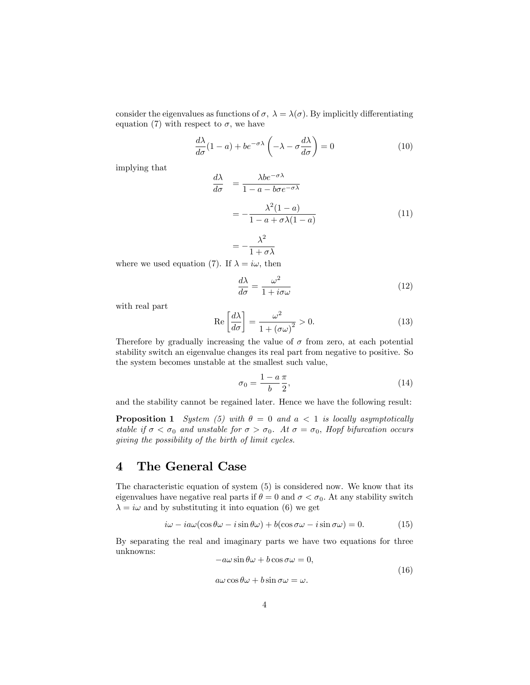consider the eigenvalues as functions of  $\sigma$ ,  $\lambda = \lambda(\sigma)$ . By implicitly differentiating equation (7) with respect to  $\sigma$ , we have

> $\frac{d\lambda}{d\sigma}(1-a) + be^{-\sigma\lambda}\left(-\lambda - \sigma\frac{d\lambda}{d\sigma}\right)$  $(10)$

implying that

$$
\frac{d\lambda}{d\sigma} = \frac{\lambda be^{-\sigma\lambda}}{1 - a - b\sigma e^{-\sigma\lambda}}
$$

$$
= -\frac{\lambda^2 (1 - a)}{1 - a + \sigma\lambda(1 - a)}
$$
(11)

$$
=-\frac{\lambda^2}{1+\sigma\lambda}
$$

where we used equation (7). If  $\lambda = i\omega$ , then

$$
\frac{d\lambda}{d\sigma} = \frac{\omega^2}{1 + i\sigma\omega} \tag{12}
$$

with real part

$$
\operatorname{Re}\left[\frac{d\lambda}{d\sigma}\right] = \frac{\omega^2}{1 + (\sigma\omega)^2} > 0.
$$
\n(13)

Therefore by gradually increasing the value of  $\sigma$  from zero, at each potential stability switch an eigenvalue changes its real part from negative to positive. So the system becomes unstable at the smallest such value,

$$
\sigma_0 = \frac{1 - a\pi}{b} \frac{\pi}{2},\tag{14}
$$

and the stability cannot be regained later. Hence we have the following result:

**Proposition 1** System (5) with  $\theta = 0$  and  $a < 1$  is locally asymptotically stable if  $\sigma < \sigma_0$  and unstable for  $\sigma > \sigma_0$ . At  $\sigma = \sigma_0$ , Hopf bifurcation occurs giving the possibility of the birth of limit cycles.

#### 4 The General Case

The characteristic equation of system (5) is considered now. We know that its eigenvalues have negative real parts if  $\theta = 0$  and  $\sigma < \sigma_0$ . At any stability switch  $\lambda = i\omega$  and by substituting it into equation (6) we get

$$
i\omega - i a\omega(\cos\theta\omega - i\sin\theta\omega) + b(\cos\sigma\omega - i\sin\sigma\omega) = 0. \tag{15}
$$

By separating the real and imaginary parts we have two equations for three unknowns:

$$
-a\omega\sin\theta\omega + b\cos\sigma\omega = 0,
$$
\n(16)

$$
a\omega\cos\theta\omega + b\sin\sigma\omega = \omega.
$$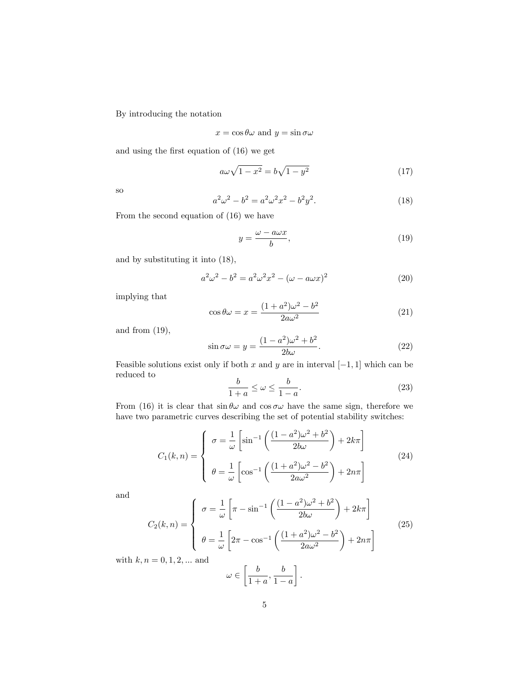By introducing the notation

$$
x = \cos \theta \omega
$$
 and  $y = \sin \sigma \omega$ 

and using the first equation of  $(16)$  we get

$$
a\omega\sqrt{1-x^2} = b\sqrt{1-y^2} \tag{17}
$$

so

$$
a^2\omega^2 - b^2 = a^2\omega^2x^2 - b^2y^2.
$$
 (18)

From the second equation of (16) we have

$$
y = \frac{\omega - a\omega x}{b},\tag{19}
$$

and by substituting it into (18),

$$
a^2\omega^2 - b^2 = a^2\omega^2 x^2 - (\omega - a\omega x)^2
$$
 (20)

implying that

$$
\cos \theta \omega = x = \frac{(1+a^2)\omega^2 - b^2}{2a\omega^2} \tag{21}
$$

and from  $(19)$ ,

$$
\sin \sigma \omega = y = \frac{(1 - a^2)\omega^2 + b^2}{2b\omega}.
$$
\n(22)

Feasible solutions exist only if both x and y are in interval  $[-1, 1]$  which can be reduced to

$$
\frac{b}{1+a} \le \omega \le \frac{b}{1-a}.\tag{23}
$$

From (16) it is clear that  $\sin \theta \omega$  and  $\cos \sigma \omega$  have the same sign, therefore we have two parametric curves describing the set of potential stability switches:

$$
C_1(k,n) = \begin{cases} \n\sigma = \frac{1}{\omega} \left[ \sin^{-1} \left( \frac{(1-a^2)\omega^2 + b^2}{2b\omega} \right) + 2k\pi \right] \\
\theta = \frac{1}{\omega} \left[ \cos^{-1} \left( \frac{(1+a^2)\omega^2 - b^2}{2a\omega^2} \right) + 2n\pi \right] \n\end{cases} (24)
$$

and

$$
C_2(k,n) = \begin{cases} \n\sigma = \frac{1}{\omega} \left[ \pi - \sin^{-1} \left( \frac{(1-a^2)\omega^2 + b^2}{2b\omega} \right) + 2k\pi \right] \\
\theta = \frac{1}{\omega} \left[ 2\pi - \cos^{-1} \left( \frac{(1+a^2)\omega^2 - b^2}{2a\omega^2} \right) + 2n\pi \right]\n\end{cases}
$$
\n(25)

with  $k, n = 0, 1, 2, ...$  and

$$
\omega \in \left[\frac{b}{1+a}, \frac{b}{1-a}\right].
$$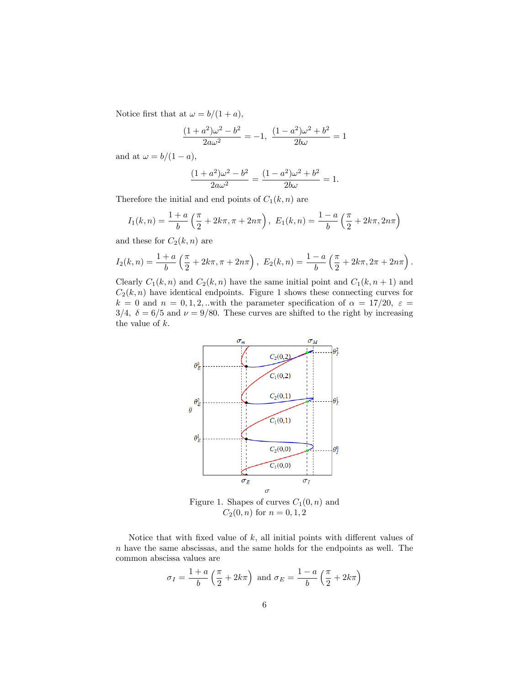Notice first that at  $\omega = b/(1 + a)$ ,

$$
\frac{(1+a^2)\omega^2 - b^2}{2a\omega^2} = -1, \ \frac{(1-a^2)\omega^2 + b^2}{2b\omega} = 1
$$

and at  $\omega = b/(1 - a)$ ,

$$
\frac{(1+a^2)\omega^2 - b^2}{2a\omega^2} = \frac{(1-a^2)\omega^2 + b^2}{2b\omega} = 1.
$$

Therefore the initial and end points of  $C_1(k, n)$  are

$$
I_1(k,n) = \frac{1+a}{b} \left( \frac{\pi}{2} + 2k\pi, \pi + 2n\pi \right), \ E_1(k,n) = \frac{1-a}{b} \left( \frac{\pi}{2} + 2k\pi, 2n\pi \right)
$$

and these for  $C_2(k, n)$  are

$$
I_2(k,n) = \frac{1+a}{b} \left( \frac{\pi}{2} + 2k\pi, \pi + 2n\pi \right), \ E_2(k,n) = \frac{1-a}{b} \left( \frac{\pi}{2} + 2k\pi, 2\pi + 2n\pi \right).
$$

Clearly  $C_1(k, n)$  and  $C_2(k, n)$  have the same initial point and  $C_1(k, n + 1)$  and  $C_2(k, n)$  have identical endpoints. Figure 1 shows these connecting curves for  $k = 0$  and  $n = 0, 1, 2, ...$  with the parameter specification of  $\alpha = 17/20, \ \varepsilon =$ 3/4,  $\delta = 6/5$  and  $\nu = 9/80$ . These curves are shifted to the right by increasing the value of  $k$ .



Figure 1. Shapes of curves  $C_1(0, n)$  and  $C_2(0, n)$  for  $n = 0, 1, 2$ 

Notice that with fixed value of  $k$ , all initial points with different values of  $n$  have the same abscissas, and the same holds for the endpoints as well. The common abscissa values are

$$
\sigma_I = \frac{1+a}{b} \left( \frac{\pi}{2} + 2k\pi \right) \text{ and } \sigma_E = \frac{1-a}{b} \left( \frac{\pi}{2} + 2k\pi \right)
$$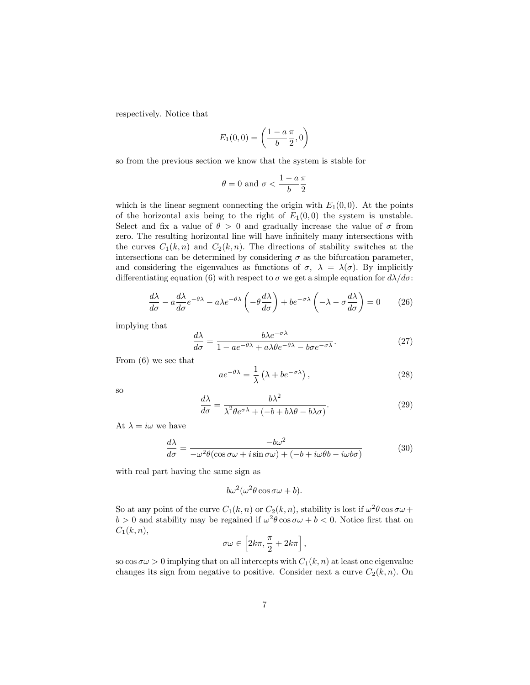respectively. Notice that

$$
E_1(0,0) = \left(\frac{1-a}{b}\frac{\pi}{2},0\right)
$$

so from the previous section we know that the system is stable for

$$
\theta = 0 \text{ and } \sigma < \frac{1 - a}{b} \frac{\pi}{2}
$$

which is the linear segment connecting the origin with  $E_1(0,0)$ . At the points of the horizontal axis being to the right of  $E_1(0,0)$  the system is unstable. Select and fix a value of  $\theta > 0$  and gradually increase the value of  $\sigma$  from zero. The resulting horizontal line will have infinitely many intersections with the curves  $C_1(k, n)$  and  $C_2(k, n)$ . The directions of stability switches at the intersections can be determined by considering  $\sigma$  as the bifurcation parameter, and considering the eigenvalues as functions of  $\sigma$ ,  $\lambda = \lambda(\sigma)$ . By implicitly differentiating equation (6) with respect to  $\sigma$  we get a simple equation for  $d\lambda/d\sigma$ :

$$
\frac{d\lambda}{d\sigma} - a\frac{d\lambda}{d\sigma}e^{-\theta\lambda} - a\lambda e^{-\theta\lambda} \left(-\theta \frac{d\lambda}{d\sigma}\right) + be^{-\sigma\lambda} \left(-\lambda - \sigma \frac{d\lambda}{d\sigma}\right) = 0 \tag{26}
$$

implying that

$$
\frac{d\lambda}{d\sigma} = \frac{b\lambda e^{-\sigma\lambda}}{1 - ae^{-\theta\lambda} + a\lambda\theta e^{-\theta\lambda} - b\sigma e^{-\sigma\lambda}}.\tag{27}
$$

From (6) we see that

$$
ae^{-\theta\lambda} = \frac{1}{\lambda} \left( \lambda + be^{-\sigma\lambda} \right),\tag{28}
$$

so

$$
\frac{d\lambda}{d\sigma} = \frac{b\lambda^2}{\lambda^2 \theta e^{\sigma\lambda} + (-b + b\lambda\theta - b\lambda\sigma)}.
$$
\n(29)

At  $\lambda = i\omega$  we have

$$
\frac{d\lambda}{d\sigma} = \frac{-b\omega^2}{-\omega^2 \theta(\cos \sigma \omega + i \sin \sigma \omega) + (-b + i\omega\theta b - i\omega b\sigma)}\tag{30}
$$

with real part having the same sign as

$$
b\omega^2(\omega^2\theta\cos\sigma\omega+b).
$$

So at any point of the curve  $C_1(k, n)$  or  $C_2(k, n)$ , stability is lost if  $\omega^2 \theta \cos \sigma \omega +$  $b > 0$  and stability may be regained if  $\omega^2 \theta \cos \sigma \omega + b < 0$ . Notice first that on  $C_1(k, n),$ 

$$
\sigma\omega\in\left[2k\pi,\frac{\pi}{2}+2k\pi\right],
$$

so  $\cos \sigma \omega > 0$  implying that on all intercepts with  $C_1(k, n)$  at least one eigenvalue changes its sign from negative to positive. Consider next a curve  $C_2(k, n)$ . On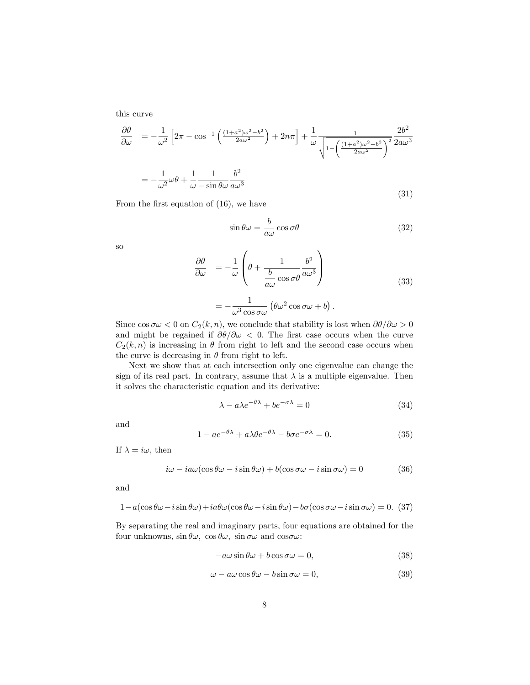this curve

$$
\frac{\partial \theta}{\partial \omega} = -\frac{1}{\omega^2} \left[ 2\pi - \cos^{-1} \left( \frac{(1+a^2)\omega^2 - b^2}{2a\omega^2} \right) + 2n\pi \right] + \frac{1}{\omega} \frac{1}{\sqrt{1 - \left( \frac{(1+a^2)\omega^2 - b^2}{2a\omega^2} \right)^2}} \frac{2b^2}{2a\omega^3}
$$

$$
= -\frac{1}{\omega^2} \omega \theta + \frac{1}{\omega} \frac{1}{-\sin \theta \omega} \frac{b^2}{a\omega^3}
$$
(31)

From the first equation of  $(16)$ , we have

$$
\sin \theta \omega = \frac{b}{a\omega} \cos \sigma \theta \tag{32}
$$

so

$$
\frac{\partial \theta}{\partial \omega} = -\frac{1}{\omega} \left( \theta + \frac{1}{\frac{b}{a\omega} \cos \sigma \theta} \frac{b^2}{a\omega^3} \right)
$$

$$
= -\frac{1}{\omega^3 \cos \sigma \omega} \left( \theta \omega^2 \cos \sigma \omega + b \right).
$$
(33)

Since  $\cos \sigma \omega < 0$  on  $C_2(k,n)$ , we conclude that stability is lost when  $\partial \theta / \partial \omega > 0$ and might be regained if  $\partial\theta/\partial\omega < 0$ . The first case occurs when the curve  $C_2(k, n)$  is increasing in  $\theta$  from right to left and the second case occurs when the curve is decreasing in  $\theta$  from right to left.

Next we show that at each intersection only one eigenvalue can change the sign of its real part. In contrary, assume that  $\lambda$  is a multiple eigenvalue. Then it solves the characteristic equation and its derivative:

$$
\lambda - a\lambda e^{-\theta\lambda} + b e^{-\sigma\lambda} = 0 \tag{34}
$$

and

$$
1 - ae^{-\theta\lambda} + a\lambda\theta e^{-\theta\lambda} - b\sigma e^{-\sigma\lambda} = 0.
$$
 (35)

If  $\lambda = i\omega$ , then

$$
i\omega - i a\omega(\cos\theta\omega - i\sin\theta\omega) + b(\cos\sigma\omega - i\sin\sigma\omega) = 0 \tag{36}
$$

and

$$
1 - a(\cos\theta\omega - i\sin\theta\omega) + ia\theta\omega(\cos\theta\omega - i\sin\theta\omega) - b\sigma(\cos\sigma\omega - i\sin\sigma\omega) = 0. (37)
$$

By separating the real and imaginary parts, four equations are obtained for the four unknowns,  $\sin \theta \omega$ ,  $\cos \theta \omega$ ,  $\sin \sigma \omega$  and  $\cos \sigma \omega$ :

$$
-a\omega\sin\theta\omega + b\cos\sigma\omega = 0,
$$
\n(38)

$$
\omega - a\omega \cos \theta \omega - b \sin \sigma \omega = 0, \tag{39}
$$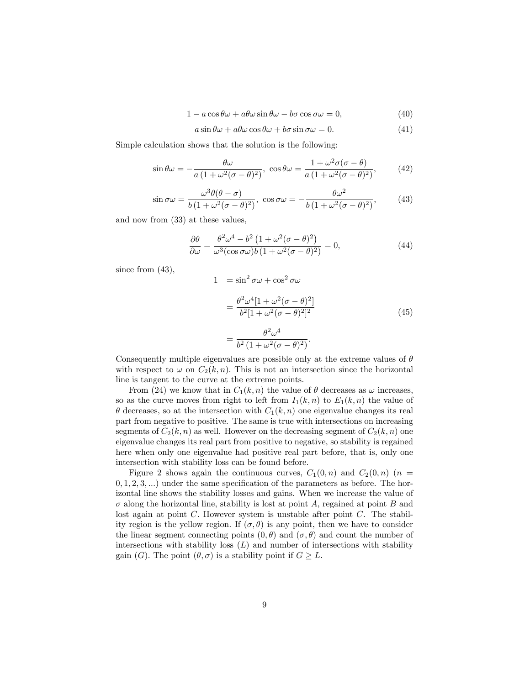$$
1 - a\cos\theta\omega + a\theta\omega\sin\theta\omega - b\sigma\cos\sigma\omega = 0,
$$
\n(40)

$$
a\sin\theta\omega + a\theta\omega\cos\theta\omega + b\sigma\sin\sigma\omega = 0.
$$
 (41)

Simple calculation shows that the solution is the following:

$$
\sin \theta \omega = -\frac{\theta \omega}{a \left(1 + \omega^2 (\sigma - \theta)^2\right)}, \cos \theta \omega = \frac{1 + \omega^2 \sigma (\sigma - \theta)}{a \left(1 + \omega^2 (\sigma - \theta)^2\right)},\tag{42}
$$

$$
\sin \sigma \omega = \frac{\omega^3 \theta(\theta - \sigma)}{b \left(1 + \omega^2 (\sigma - \theta)^2\right)}, \quad \cos \sigma \omega = -\frac{\theta \omega^2}{b \left(1 + \omega^2 (\sigma - \theta)^2\right)},\tag{43}
$$

and now from (33) at these values,

$$
\frac{\partial \theta}{\partial \omega} = \frac{\theta^2 \omega^4 - b^2 \left( 1 + \omega^2 (\sigma - \theta)^2 \right)}{\omega^3 (\cos \sigma \omega) b \left( 1 + \omega^2 (\sigma - \theta)^2 \right)} = 0,
$$
\n(44)

since from  $(43)$ ,

$$
1 = \sin^2 \sigma \omega + \cos^2 \sigma \omega
$$
  
= 
$$
\frac{\theta^2 \omega^4 [1 + \omega^2 (\sigma - \theta)^2]}{b^2 [1 + \omega^2 (\sigma - \theta)^2]^2}
$$
  
= 
$$
\frac{\theta^2 \omega^4}{b^2 (1 + \omega^2 (\sigma - \theta)^2)}.
$$
 (45)

Consequently multiple eigenvalues are possible only at the extreme values of  $\theta$ with respect to  $\omega$  on  $C_2(k, n)$ . This is not an intersection since the horizontal line is tangent to the curve at the extreme points.

From (24) we know that in  $C_1(k, n)$  the value of  $\theta$  decreases as  $\omega$  increases, so as the curve moves from right to left from  $I_1(k,n)$  to  $E_1(k,n)$  the value of  $\theta$  decreases, so at the intersection with  $C_1(k,n)$  one eigenvalue changes its real part from negative to positive. The same is true with intersections on increasing segments of  $C_2(k, n)$  as well. However on the decreasing segment of  $C_2(k, n)$  one eigenvalue changes its real part from positive to negative, so stability is regained here when only one eigenvalue had positive real part before, that is, only one intersection with stability loss can be found before.

Figure 2 shows again the continuous curves,  $C_1(0,n)$  and  $C_2(0,n)$  (n =  $(0, 1, 2, 3, ...)$  under the same specification of the parameters as before. The horizontal line shows the stability losses and gains. When we increase the value of  $\sigma$  along the horizontal line, stability is lost at point A, regained at point B and lost again at point  $C$ . However system is unstable after point  $C$ . The stability region is the yellow region. If  $(\sigma, \theta)$  is any point, then we have to consider the linear segment connecting points  $(0, \theta)$  and  $(\sigma, \theta)$  and count the number of intersections with stability loss  $(L)$  and number of intersections with stability gain (G). The point  $(\theta, \sigma)$  is a stability point if  $G \geq L$ .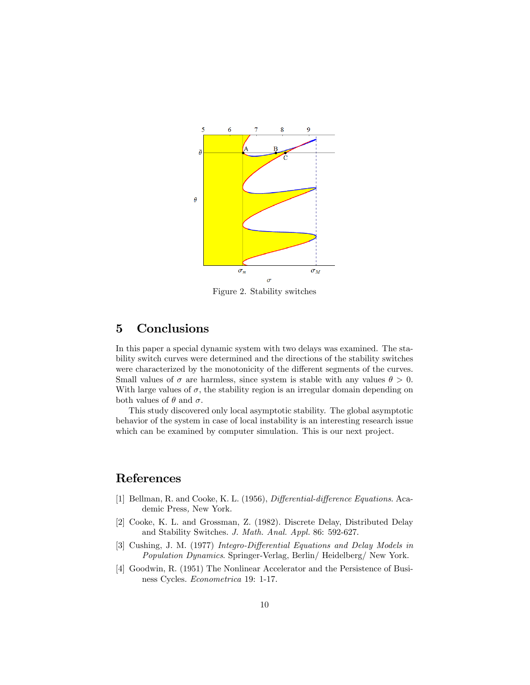

Figure 2. Stability switches

### 5 Conclusions

In this paper a special dynamic system with two delays was examined. The stability switch curves were determined and the directions of the stability switches were characterized by the monotonicity of the different segments of the curves. Small values of  $\sigma$  are harmless, since system is stable with any values  $\theta > 0$ . With large values of  $\sigma$ , the stability region is an irregular domain depending on both values of  $\theta$  and  $\sigma$ .

This study discovered only local asymptotic stability. The global asymptotic behavior of the system in case of local instability is an interesting research issue which can be examined by computer simulation. This is our next project.

### References

- [1] Bellman, R. and Cooke, K. L. (1956), *Differential-difference Equations*. Academic Press, New York.
- [2] Cooke, K. L. and Grossman, Z. (1982). Discrete Delay, Distributed Delay and Stability Switches. J. Math. Anal. Appl. 86: 592-627.
- [3] Cushing, J. M. (1977) Integro-Differential Equations and Delay Models in Population Dynamics. Springer-Verlag, Berlin/ Heidelberg/ New York.
- [4] Goodwin, R. (1951) The Nonlinear Accelerator and the Persistence of Business Cycles. Econometrica 19: 1-17.